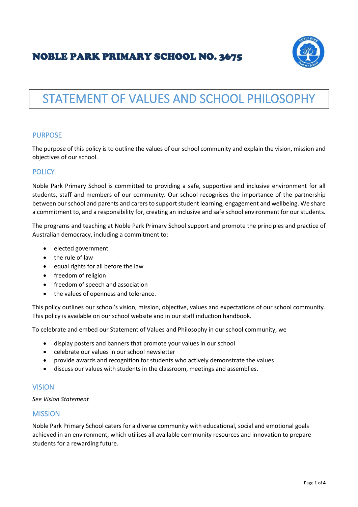# NOBLE PARK PRIMARY SCHOOL NO. 3675



# STATEMENT OF VALUES AND SCHOOL PHILOSOPHY

# PURPOSE

The purpose of this policy is to outline the values of our school community and explain the vision, mission and objectives of our school.

# **POLICY**

Noble Park Primary School is committed to providing a safe, supportive and inclusive environment for all students, staff and members of our community. Our school recognises the importance of the partnership between our school and parents and carers to support student learning, engagement and wellbeing. We share a commitment to, and a responsibility for, creating an inclusive and safe school environment for our students.

The programs and teaching at Noble Park Primary School support and promote the principles and practice of Australian democracy, including a commitment to:

- elected government
- the rule of law
- equal rights for all before the law
- freedom of religion
- freedom of speech and association
- the values of openness and tolerance.

This policy outlines our school's vision, mission, objective, values and expectations of our school community. This policy is available on our school website and in our staff induction handbook.

To celebrate and embed our Statement of Values and Philosophy in our school community, we

- display posters and banners that promote your values in our school
- celebrate our values in our school newsletter
- provide awards and recognition for students who actively demonstrate the values
- discuss our values with students in the classroom, meetings and assemblies.

#### VISION

*See Vision Statement*

### MISSION

Noble Park Primary School caters for a diverse community with educational, social and emotional goals achieved in an environment, which utilises all available community resources and innovation to prepare students for a rewarding future.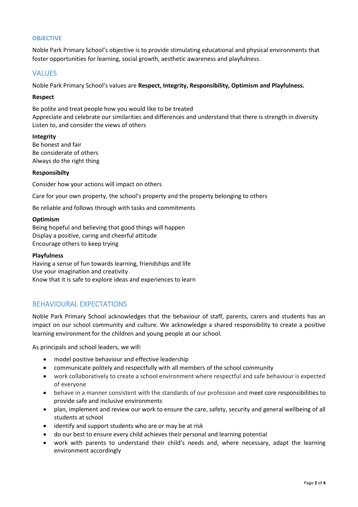#### **OBJECTIVE**

Noble Park Primary School's objective is to provide stimulating educational and physical environments that foster opportunities for learning, social growth, aesthetic awareness and playfulness.

# VALUES

Noble Park Primary School's values are **Respect, Integrity, Responsibility, Optimism and Playfulness.**

#### **Respect**

Be polite and treat people how you would like to be treated Appreciate and celebrate our similarities and differences and understand that there is strength in diversity Listen to, and consider the views of others

#### **Integrity**

Be honest and fair Be considerate of others Always do the right thing

#### **Responsibilty**

Consider how your actions will impact on others

Care for your own property, the school's property and the property belonging to others

Be reliable and follows through with tasks and commitments

#### **Optimism**

Being hopeful and believing that good things will happen Display a positive, caring and cheerful attitude Encourage others to keep trying

#### **Playfulness**

Having a sense of fun towards learning, friendships and life Use your imagination and creativity Know that it is safe to explore ideas and experiences to learn

# BEHAVIOURAL EXPECTATIONS

Noble Park Primary School acknowledges that the behaviour of staff, parents, carers and students has an impact on our school community and culture. We acknowledge a shared responsibility to create a positive learning environment for the children and young people at our school.

As principals and school leaders, we will:

- model positive behaviour and effective leadership
- communicate politely and respectfully with all members of the school community
- work collaboratively to create a school environment where respectful and safe behaviour is expected of everyone
- behave in a manner consistent with the standards of our profession and meet core responsibilities to provide safe and inclusive environments
- plan, implement and review our work to ensure the care, safety, security and general wellbeing of all students at school
- identify and support students who are or may be at risk
- do our best to ensure every child achieves their personal and learning potential
- work with parents to understand their child's needs and, where necessary, adapt the learning environment accordingly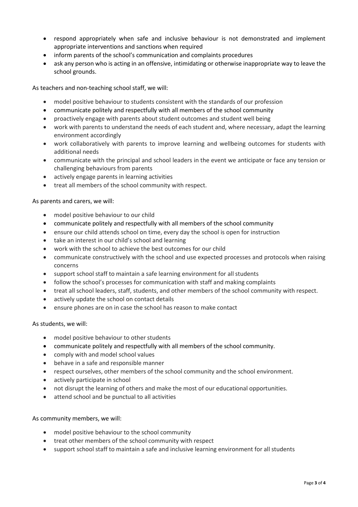- respond appropriately when safe and inclusive behaviour is not demonstrated and implement appropriate interventions and sanctions when required
- inform parents of the school's communication and complaints procedures
- ask any person who is acting in an offensive, intimidating or otherwise inappropriate way to leave the school grounds.

As teachers and non-teaching school staff, we will:

- model positive behaviour to students consistent with the standards of our profession
- communicate politely and respectfully with all members of the school community
- proactively engage with parents about student outcomes and student well being
- work with parents to understand the needs of each student and, where necessary, adapt the learning environment accordingly
- work collaboratively with parents to improve learning and wellbeing outcomes for students with additional needs
- communicate with the principal and school leaders in the event we anticipate or face any tension or challenging behaviours from parents
- actively engage parents in learning activities
- treat all members of the school community with respect.

As parents and carers, we will:

- model positive behaviour to our child
- communicate politely and respectfully with all members of the school community
- ensure our child attends school on time, every day the school is open for instruction
- take an interest in our child's school and learning
- work with the school to achieve the best outcomes for our child
- communicate constructively with the school and use expected processes and protocols when raising concerns
- support school staff to maintain a safe learning environment for all students
- follow the school's processes for communication with staff and making complaints
- treat all school leaders, staff, students, and other members of the school community with respect.
- actively update the school on contact details
- ensure phones are on in case the school has reason to make contact

#### As students, we will:

- model positive behaviour to other students
- communicate politely and respectfully with all members of the school community.
- comply with and model school values
- behave in a safe and responsible manner
- respect ourselves, other members of the school community and the school environment.
- actively participate in school
- not disrupt the learning of others and make the most of our educational opportunities.
- attend school and be punctual to all activities

#### As community members, we will:

- model positive behaviour to the school community
- treat other members of the school community with respect
- support school staff to maintain a safe and inclusive learning environment for all students